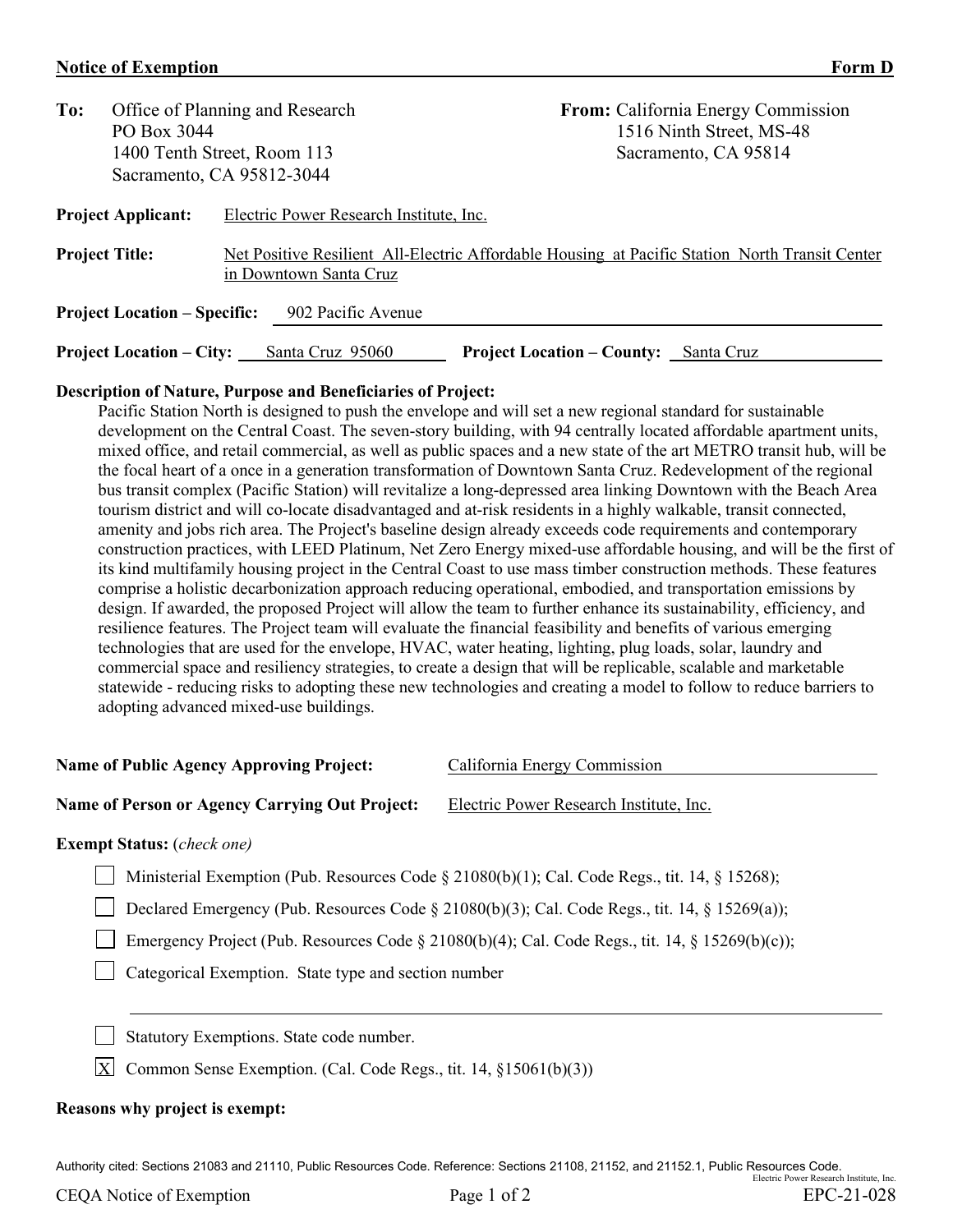## **Notice of Exemption Form D**

| To:                                                       |                                 | Office of Planning and Research         | <b>From:</b> California Energy Commission                                                      |  |  |
|-----------------------------------------------------------|---------------------------------|-----------------------------------------|------------------------------------------------------------------------------------------------|--|--|
|                                                           | PO Box 3044                     |                                         | 1516 Ninth Street, MS-48                                                                       |  |  |
| 1400 Tenth Street, Room 113                               |                                 |                                         | Sacramento, CA 95814                                                                           |  |  |
| Sacramento, CA 95812-3044                                 |                                 |                                         |                                                                                                |  |  |
| <b>Project Applicant:</b>                                 |                                 | Electric Power Research Institute, Inc. |                                                                                                |  |  |
| <b>Project Title:</b>                                     |                                 | in Downtown Santa Cruz                  | Net Positive Resilient All-Electric Affordable Housing at Pacific Station North Transit Center |  |  |
| 902 Pacific Avenue<br><b>Project Location – Specific:</b> |                                 |                                         |                                                                                                |  |  |
|                                                           | <b>Project Location – City:</b> | Santa Cruz 95060                        | <b>Project Location – County:</b><br>Santa Cruz                                                |  |  |

## **Description of Nature, Purpose and Beneficiaries of Project:**

Pacific Station North is designed to push the envelope and will set a new regional standard for sustainable development on the Central Coast. The seven-story building, with 94 centrally located affordable apartment units, mixed office, and retail commercial, as well as public spaces and a new state of the art METRO transit hub, will be the focal heart of a once in a generation transformation of Downtown Santa Cruz. Redevelopment of the regional bus transit complex (Pacific Station) will revitalize a long-depressed area linking Downtown with the Beach Area tourism district and will co-locate disadvantaged and at-risk residents in a highly walkable, transit connected, amenity and jobs rich area. The Project's baseline design already exceeds code requirements and contemporary construction practices, with LEED Platinum, Net Zero Energy mixed-use affordable housing, and will be the first of its kind multifamily housing project in the Central Coast to use mass timber construction methods. These features comprise a holistic decarbonization approach reducing operational, embodied, and transportation emissions by design. If awarded, the proposed Project will allow the team to further enhance its sustainability, efficiency, and resilience features. The Project team will evaluate the financial feasibility and benefits of various emerging technologies that are used for the envelope, HVAC, water heating, lighting, plug loads, solar, laundry and commercial space and resiliency strategies, to create a design that will be replicable, scalable and marketable statewide - reducing risks to adopting these new technologies and creating a model to follow to reduce barriers to adopting advanced mixed-use buildings.

| <b>Name of Public Agency Approving Project:</b>                                                     | California Energy Commission                                     |  |  |  |
|-----------------------------------------------------------------------------------------------------|------------------------------------------------------------------|--|--|--|
| <b>Name of Person or Agency Carrying Out Project:</b>                                               | Electric Power Research Institute, Inc.                          |  |  |  |
| <b>Exempt Status:</b> (check one)                                                                   |                                                                  |  |  |  |
| Ministerial Exemption (Pub. Resources Code § 21080(b)(1); Cal. Code Regs., tit. 14, § 15268);       |                                                                  |  |  |  |
| Declared Emergency (Pub. Resources Code $\S$ 21080(b)(3); Cal. Code Regs., tit. 14, $\S$ 15269(a)); |                                                                  |  |  |  |
| Emergency Project (Pub. Resources Code § 21080(b)(4); Cal. Code Regs., tit. 14, § 15269(b)(c));     |                                                                  |  |  |  |
| Categorical Exemption. State type and section number                                                |                                                                  |  |  |  |
|                                                                                                     |                                                                  |  |  |  |
| Statutory Exemptions. State code number.                                                            |                                                                  |  |  |  |
| X                                                                                                   | Common Sense Exemption. (Cal. Code Regs., tit. 14, §15061(b)(3)) |  |  |  |

## **Reasons why project is exempt:**

Authority cited: Sections 21083 and 21110, Public Resources Code. Reference: Sections 21108, 21152, and 21152.1, Public Resources Code. Electric Power Research Institute, Inc.